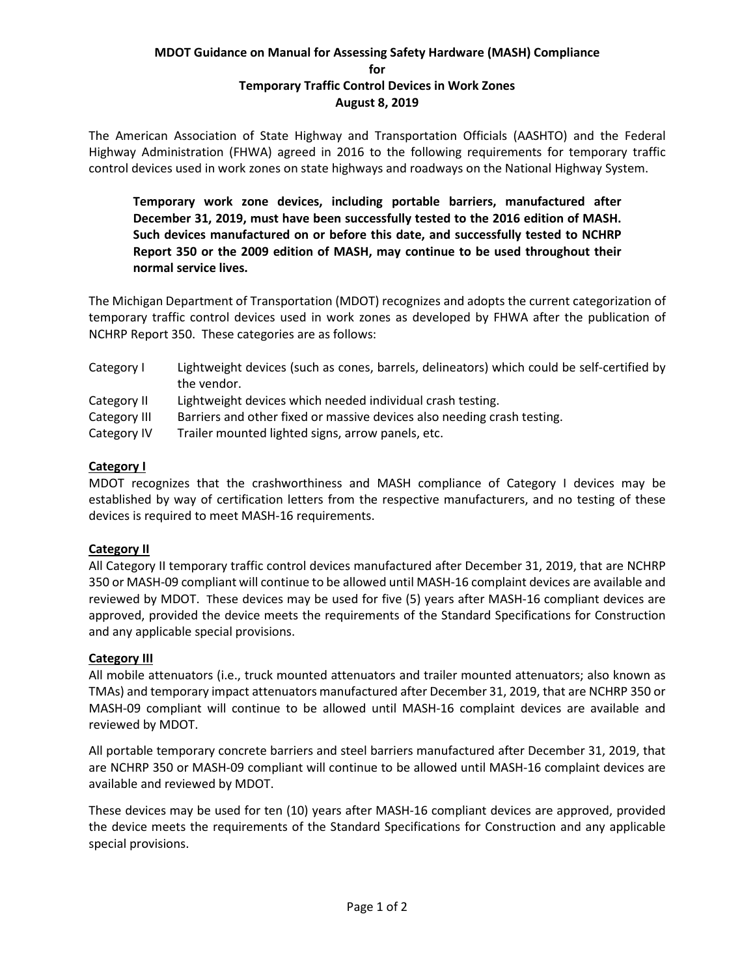#### **MDOT Guidance on Manual for Assessing Safety Hardware (MASH) Compliance for Temporary Traffic Control Devices in Work Zones August 8, 2019**

The American Association of State Highway and Transportation Officials (AASHTO) and the Federal Highway Administration (FHWA) agreed in 2016 to the following requirements for temporary traffic control devices used in work zones on state highways and roadways on the National Highway System.

**Temporary work zone devices, including portable barriers, manufactured after December 31, 2019, must have been successfully tested to the 2016 edition of MASH. Such devices manufactured on or before this date, and successfully tested to NCHRP Report 350 or the 2009 edition of MASH, may continue to be used throughout their normal service lives.** 

The Michigan Department of Transportation (MDOT) recognizes and adopts the current categorization of temporary traffic control devices used in work zones as developed by FHWA after the publication of NCHRP Report 350. These categories are as follows:

| Category I   | Lightweight devices (such as cones, barrels, delineators) which could be self-certified by<br>the vendor. |
|--------------|-----------------------------------------------------------------------------------------------------------|
| Category II  | Lightweight devices which needed individual crash testing.                                                |
| Category III | Barriers and other fixed or massive devices also needing crash testing.                                   |
| Category IV  | Trailer mounted lighted signs, arrow panels, etc.                                                         |

## **Category I**

MDOT recognizes that the crashworthiness and MASH compliance of Category I devices may be established by way of certification letters from the respective manufacturers, and no testing of these devices is required to meet MASH-16 requirements.

# **Category II**

All Category II temporary traffic control devices manufactured after December 31, 2019, that are NCHRP 350 or MASH-09 compliant will continue to be allowed until MASH-16 complaint devices are available and reviewed by MDOT. These devices may be used for five (5) years after MASH-16 compliant devices are approved, provided the device meets the requirements of the Standard Specifications for Construction and any applicable special provisions.

## **Category III**

All mobile attenuators (i.e., truck mounted attenuators and trailer mounted attenuators; also known as TMAs) and temporary impact attenuators manufactured after December 31, 2019, that are NCHRP 350 or MASH-09 compliant will continue to be allowed until MASH-16 complaint devices are available and reviewed by MDOT.

All portable temporary concrete barriers and steel barriers manufactured after December 31, 2019, that are NCHRP 350 or MASH-09 compliant will continue to be allowed until MASH-16 complaint devices are available and reviewed by MDOT.

These devices may be used for ten (10) years after MASH-16 compliant devices are approved, provided the device meets the requirements of the Standard Specifications for Construction and any applicable special provisions.